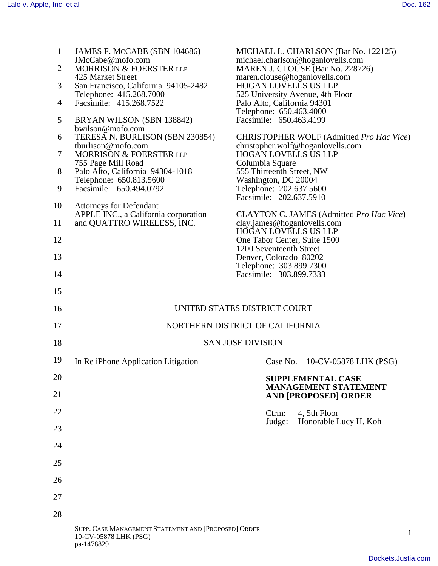| $\mathbf{1}$   | JAMES F. MCCABE (SBN 104686)                                                                |  | MICHAEL L. CHARLSON (Bar No. 122125)                                                                   |
|----------------|---------------------------------------------------------------------------------------------|--|--------------------------------------------------------------------------------------------------------|
| $\mathbf{2}$   | JMcCabe@mofo.com<br>MORRISON & FOERSTER LLP<br>425 Market Street                            |  | michael.charlson@hoganlovells.com<br>MAREN J. CLOUSE (Bar No. 228726)<br>maren.clouse@hoganlovells.com |
| 3              | San Francisco, California 94105-2482                                                        |  | <b>HOGAN LOVELLS US LLP</b>                                                                            |
| $\overline{4}$ | Telephone: 415.268.7000<br>Facsimile: 415.268.7522                                          |  | 525 University Avenue, 4th Floor<br>Palo Alto, California 94301                                        |
| 5              | BRYAN WILSON (SBN 138842)                                                                   |  | Telephone: 650.463.4000<br>Facsimile: 650.463.4199                                                     |
| 6              | bwilson@mofo.com<br>TERESA N. BURLISON (SBN 230854)                                         |  | CHRISTOPHER WOLF (Admitted Pro Hac Vice)                                                               |
| $\tau$         | tburlison@mofo.com<br>MORRISON & FOERSTER LLP                                               |  | christopher.wolf@hoganlovells.com<br><b>HOGAN LOVELLS US LLP</b>                                       |
| 8              | 755 Page Mill Road<br>Palo Alto, California 94304-1018                                      |  | Columbia Square<br>555 Thirteenth Street, NW                                                           |
|                | Telephone: 650.813.5600                                                                     |  | Washington, DC 20004                                                                                   |
| 9              | Facsimile: 650.494.0792                                                                     |  | Telephone: 202.637.5600<br>Facsimile: 202.637.5910                                                     |
| 10             | <b>Attorneys for Defendant</b>                                                              |  |                                                                                                        |
| 11             | APPLE INC., a California corporation<br>and QUATTRO WIRELESS, INC.                          |  | CLAYTON C. JAMES (Admitted Pro Hac Vice)<br>clay.james@hoganlovells.com<br>HOGAN LOVELLS US LLP        |
| 12             |                                                                                             |  | One Tabor Center, Suite 1500<br>1200 Seventeenth Street                                                |
| 13             |                                                                                             |  | Denver, Colorado 80202<br>Telephone: 303.899.7300                                                      |
| 14             |                                                                                             |  | Facsimile: 303.899.7333                                                                                |
| 15             |                                                                                             |  |                                                                                                        |
| 16             | UNITED STATES DISTRICT COURT                                                                |  |                                                                                                        |
| 17             | NORTHERN DISTRICT OF CALIFORNIA                                                             |  |                                                                                                        |
| 18             | <b>SAN JOSE DIVISION</b>                                                                    |  |                                                                                                        |
| 19             | In Re iPhone Application Litigation                                                         |  | Case No. 10-CV-05878 LHK (PSG)                                                                         |
| 20             |                                                                                             |  | <b>SUPPLEMENTAL CASE</b>                                                                               |
| 21             |                                                                                             |  | <b>MANAGEMENT STATEMENT</b><br><b>AND [PROPOSED] ORDER</b>                                             |
| 22             |                                                                                             |  | 4, 5th Floor<br>Ctrm:<br>Honorable Lucy H. Koh<br>Judge:                                               |
| 23             |                                                                                             |  |                                                                                                        |
| 24             |                                                                                             |  |                                                                                                        |
| 25             |                                                                                             |  |                                                                                                        |
| 26             |                                                                                             |  |                                                                                                        |
| 27             |                                                                                             |  |                                                                                                        |
| 28             |                                                                                             |  |                                                                                                        |
|                | SUPP. CASE MANAGEMENT STATEMENT AND [PROPOSED] ORDER<br>10-CV-05878 LHK (PSG)<br>pa-1478829 |  | 1                                                                                                      |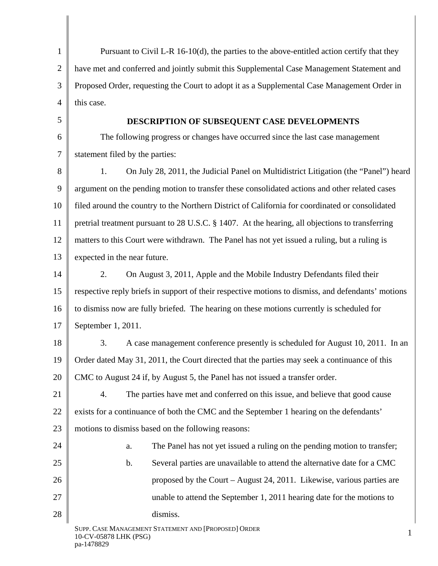1 2 3 4 5 6 7 8 9 10 11 12 13 14 15 16 17 18 19 20 21 22 23 24 25 26 27 28 SUPP. CASE MANAGEMENT STATEMENT AND [PROPOSED] ORDER 10-CV-05878 LHK (PSG) 1 Pursuant to Civil L-R  $16-10(d)$ , the parties to the above-entitled action certify that they have met and conferred and jointly submit this Supplemental Case Management Statement and Proposed Order, requesting the Court to adopt it as a Supplemental Case Management Order in this case. **DESCRIPTION OF SUBSEQUENT CASE DEVELOPMENTS**  The following progress or changes have occurred since the last case management statement filed by the parties: 1. On July 28, 2011, the Judicial Panel on Multidistrict Litigation (the "Panel") heard argument on the pending motion to transfer these consolidated actions and other related cases filed around the country to the Northern District of California for coordinated or consolidated pretrial treatment pursuant to 28 U.S.C. § 1407. At the hearing, all objections to transferring matters to this Court were withdrawn. The Panel has not yet issued a ruling, but a ruling is expected in the near future. 2. On August 3, 2011, Apple and the Mobile Industry Defendants filed their respective reply briefs in support of their respective motions to dismiss, and defendants' motions to dismiss now are fully briefed. The hearing on these motions currently is scheduled for September 1, 2011. 3. A case management conference presently is scheduled for August 10, 2011. In an Order dated May 31, 2011, the Court directed that the parties may seek a continuance of this CMC to August 24 if, by August 5, the Panel has not issued a transfer order. 4. The parties have met and conferred on this issue, and believe that good cause exists for a continuance of both the CMC and the September 1 hearing on the defendants' motions to dismiss based on the following reasons: a. The Panel has not yet issued a ruling on the pending motion to transfer; b. Several parties are unavailable to attend the alternative date for a CMC proposed by the Court – August 24, 2011. Likewise, various parties are unable to attend the September 1, 2011 hearing date for the motions to dismiss.

10-CV-05878 LHK (PSG)<br>pa-1478829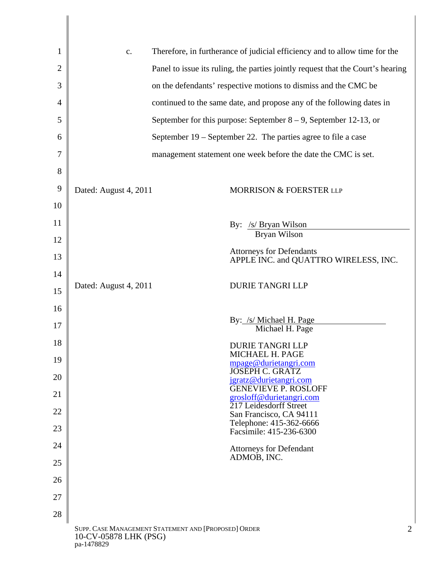| 1  | Therefore, in furtherance of judicial efficiency and to allow time for the<br>c.   |  |
|----|------------------------------------------------------------------------------------|--|
| 2  | Panel to issue its ruling, the parties jointly request that the Court's hearing    |  |
| 3  | on the defendants' respective motions to dismiss and the CMC be                    |  |
| 4  | continued to the same date, and propose any of the following dates in              |  |
| 5  | September for this purpose: September $8 - 9$ , September 12-13, or                |  |
| 6  | September $19$ – September 22. The parties agree to file a case                    |  |
| 7  | management statement one week before the date the CMC is set.                      |  |
| 8  |                                                                                    |  |
| 9  | Dated: August 4, 2011<br>MORRISON & FOERSTER LLP                                   |  |
| 10 |                                                                                    |  |
| 11 | By: /s/ Bryan Wilson                                                               |  |
| 12 | Bryan Wilson                                                                       |  |
| 13 | <b>Attorneys for Defendants</b><br>APPLE INC. and QUATTRO WIRELESS, INC.           |  |
| 14 |                                                                                    |  |
| 15 | <b>DURIE TANGRI LLP</b><br>Dated: August 4, 2011                                   |  |
| 16 |                                                                                    |  |
| 17 | By: /s/ Michael H. Page<br>Michael H. Page                                         |  |
| 18 | <b>DURIE TANGRI LLP</b><br>MICHAEL H. PAGE                                         |  |
| 19 | mpage@durietangri.com<br><b>JOSEPH C. GRATZ</b>                                    |  |
| 20 | jgratz@durietangri.com<br><b>GENEVIEVE P. ROSLOFF</b>                              |  |
| 21 | grosloff@durietangri.com<br>217 Leidesdorff Street                                 |  |
| 22 | San Francisco, CA 94111<br>Telephone: 415-362-6666                                 |  |
| 23 | Facsimile: 415-236-6300                                                            |  |
| 24 | <b>Attorneys for Defendant</b><br>ADMOB, INC.                                      |  |
| 25 |                                                                                    |  |
| 26 |                                                                                    |  |
| 27 |                                                                                    |  |
| 28 |                                                                                    |  |
|    | SUPP. CASE MANAGEMENT STATEMENT AND [PROPOSED] ORDER<br>2<br>10-CV-05878 LHK (PSG) |  |

pa-1478829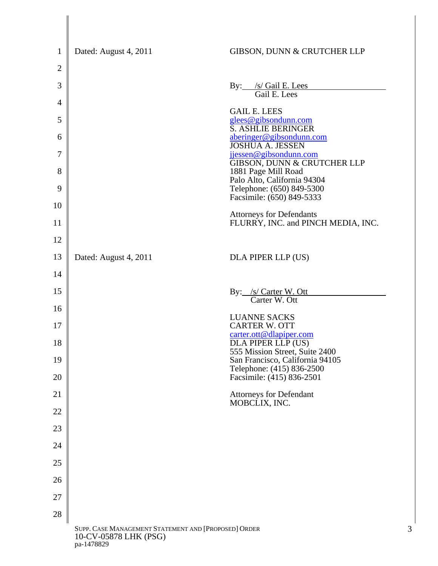| $\mathbf{1}$   | Dated: August 4, 2011                                                         | GIBSON, DUNN & CRUTCHER LLP                                                             |
|----------------|-------------------------------------------------------------------------------|-----------------------------------------------------------------------------------------|
| $\overline{2}$ |                                                                               |                                                                                         |
| 3              |                                                                               | By: /s/ Gail E. Lees<br>Gail E. Lees                                                    |
| $\overline{4}$ |                                                                               |                                                                                         |
| 5              |                                                                               | <b>GAIL E. LEES</b><br>glees@gibsondunn.com                                             |
| 6              |                                                                               | S. ASHLIE BERINGER<br>aberinger@gibsondunn.com<br><b>JOSHUA A. JESSEN</b>               |
| 7              |                                                                               | jjessen@gibsondunn.com<br>GIBSON, DUNN & CRUTCHER LLP                                   |
| 8              |                                                                               | 1881 Page Mill Road<br>Palo Alto, California 94304                                      |
| 9              |                                                                               | Telephone: (650) 849-5300<br>Facsimile: (650) 849-5333                                  |
| 10             |                                                                               | <b>Attorneys for Defendants</b>                                                         |
| 11             |                                                                               | FLURRY, INC. and PINCH MEDIA, INC.                                                      |
| 12             |                                                                               |                                                                                         |
| 13             | Dated: August 4, 2011                                                         | DLA PIPER LLP (US)                                                                      |
| 14             |                                                                               |                                                                                         |
| 15             |                                                                               | By: /s/ Carter W. Ott<br>Carter W. Ott                                                  |
| 16             |                                                                               | <b>LUANNE SACKS</b>                                                                     |
| 17<br>18       |                                                                               | <b>CARTER W. OTT</b><br>carter.ott@dlapiper.com                                         |
| 19             |                                                                               | DLA PIPER LLP (US)<br>555 Mission Street, Suite 2400<br>San Francisco, California 94105 |
| 20             |                                                                               | Telephone: (415) 836-2500<br>Facsimile: (415) 836-2501                                  |
| 21             |                                                                               | <b>Attorneys for Defendant</b>                                                          |
| 22             |                                                                               | MOBCLIX, INC.                                                                           |
| 23             |                                                                               |                                                                                         |
| 24             |                                                                               |                                                                                         |
| 25             |                                                                               |                                                                                         |
| 26             |                                                                               |                                                                                         |
| 27             |                                                                               |                                                                                         |
| 28             |                                                                               |                                                                                         |
|                | SUPP. CASE MANAGEMENT STATEMENT AND [PROPOSED] ORDER<br>10-CV-05878 LHK (PSG) | 3                                                                                       |

pa-1478829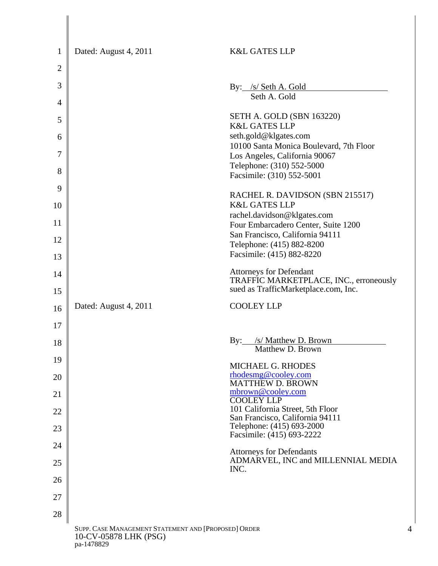| $\mathbf{1}$                                                                       | Dated: August 4, 2011 | <b>K&amp;L GATES LLP</b>                                                                                  |  |
|------------------------------------------------------------------------------------|-----------------------|-----------------------------------------------------------------------------------------------------------|--|
| 2                                                                                  |                       |                                                                                                           |  |
| 3                                                                                  |                       |                                                                                                           |  |
|                                                                                    |                       | By: /s/ Seth A. Gold<br>Seth A. Gold                                                                      |  |
| $\overline{4}$                                                                     |                       | SETH A. GOLD (SBN 163220)                                                                                 |  |
| 5                                                                                  |                       | <b>K&amp;L GATES LLP</b>                                                                                  |  |
| 6                                                                                  |                       | seth.gold@klgates.com<br>10100 Santa Monica Boulevard, 7th Floor                                          |  |
| 7                                                                                  |                       | Los Angeles, California 90067                                                                             |  |
| 8                                                                                  |                       | Telephone: (310) 552-5000<br>Facsimile: (310) 552-5001                                                    |  |
| 9                                                                                  |                       | RACHEL R. DAVIDSON (SBN 215517)                                                                           |  |
| 10                                                                                 |                       | <b>K&amp;L GATES LLP</b>                                                                                  |  |
| 11                                                                                 |                       | rachel.davidson@klgates.com<br>Four Embarcadero Center, Suite 1200                                        |  |
| 12                                                                                 |                       | San Francisco, California 94111                                                                           |  |
| 13                                                                                 |                       | Telephone: (415) 882-8200<br>Facsimile: (415) 882-8220                                                    |  |
| 14                                                                                 |                       |                                                                                                           |  |
|                                                                                    |                       | Attorneys for Defendant<br>TRAFFIC MARKETPLACE, INC., erroneously<br>sued as TrafficMarketplace.com, Inc. |  |
| 15                                                                                 |                       |                                                                                                           |  |
| 16                                                                                 | Dated: August 4, 2011 | <b>COOLEY LLP</b>                                                                                         |  |
| 17                                                                                 |                       |                                                                                                           |  |
| 18                                                                                 |                       | /s/ Matthew D. Brown<br>By:<br>Matthew D. Brown                                                           |  |
| 19                                                                                 |                       | <b>MICHAEL G. RHODES</b>                                                                                  |  |
| 20                                                                                 |                       | rhodesmg@cooley.com<br><b>MATTHEW D. BROWN</b>                                                            |  |
| 21                                                                                 |                       | mbrown@cooley.com<br><b>COOLEY LLP</b>                                                                    |  |
| 22                                                                                 |                       | 101 California Street, 5th Floor                                                                          |  |
| 23                                                                                 |                       | San Francisco, California 94111<br>Telephone: (415) 693-2000                                              |  |
| 24                                                                                 |                       | Facsimile: (415) 693-2222                                                                                 |  |
| 25                                                                                 |                       | <b>Attorneys for Defendants</b><br>ADMARVEL, INC and MILLENNIAL MEDIA                                     |  |
| 26                                                                                 |                       | INC.                                                                                                      |  |
| 27                                                                                 |                       |                                                                                                           |  |
| 28                                                                                 |                       |                                                                                                           |  |
| SUPP. CASE MANAGEMENT STATEMENT AND [PROPOSED] ORDER<br>4<br>10-CV-05878 LHK (PSG) |                       |                                                                                                           |  |

pa-1478829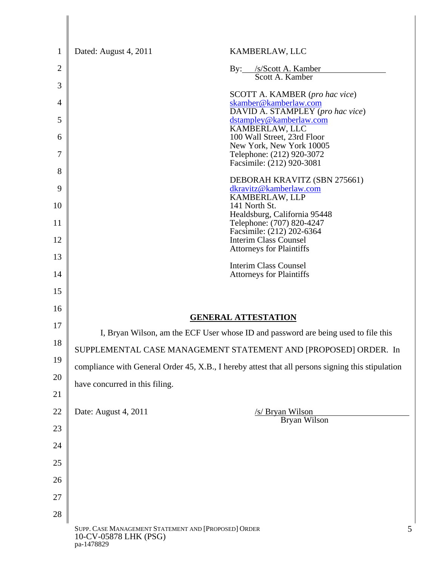| $\mathbf{1}$   | Dated: August 4, 2011                                                                             | KAMBERLAW, LLC                                                  |
|----------------|---------------------------------------------------------------------------------------------------|-----------------------------------------------------------------|
| $\overline{2}$ | $\rm\,By:$                                                                                        | /s/Scott A. Kamber<br>Scott A. Kamber                           |
| 3              |                                                                                                   |                                                                 |
| 4              |                                                                                                   | <b>SCOTT A. KAMBER</b> (pro hac vice)<br>skamber@kamberlaw.com  |
| 5              |                                                                                                   | DAVID A. STAMPLEY (pro hac vice)<br>dstampley@kamberlaw.com     |
| 6              |                                                                                                   | KAMBERLAW, LLC<br>100 Wall Street, 23rd Floor                   |
| 7              |                                                                                                   | New York, New York 10005<br>Telephone: (212) 920-3072           |
| 8              |                                                                                                   | Facsimile: (212) 920-3081                                       |
| 9              |                                                                                                   | DEBORAH KRAVITZ (SBN 275661)<br>dkravitz@kamberlaw.com          |
| 10             |                                                                                                   | KAMBERLAW, LLP<br>141 North St.                                 |
| 11             |                                                                                                   | Healdsburg, California 95448<br>Telephone: (707) 820-4247       |
| 12             |                                                                                                   | Facsimile: (212) 202-6364<br><b>Interim Class Counsel</b>       |
| 13             |                                                                                                   | <b>Attorneys for Plaintiffs</b>                                 |
| 14             |                                                                                                   | <b>Interim Class Counsel</b><br><b>Attorneys for Plaintiffs</b> |
| 15             |                                                                                                   |                                                                 |
| 16             |                                                                                                   |                                                                 |
| 17             | <b>GENERAL ATTESTATION</b>                                                                        |                                                                 |
| 18             | I, Bryan Wilson, am the ECF User whose ID and password are being used to file this                |                                                                 |
| 19             | SUPPLEMENTAL CASE MANAGEMENT STATEMENT AND [PROPOSED] ORDER. In                                   |                                                                 |
| 20             | compliance with General Order 45, X.B., I hereby attest that all persons signing this stipulation |                                                                 |
| 21             | have concurred in this filing.                                                                    |                                                                 |
| 22             | Date: August 4, 2011                                                                              | /s/ Bryan Wilson                                                |
| 23             |                                                                                                   | Bryan Wilson                                                    |
| 24             |                                                                                                   |                                                                 |
| 25             |                                                                                                   |                                                                 |
| 26             |                                                                                                   |                                                                 |
| 27             |                                                                                                   |                                                                 |
| 28             |                                                                                                   |                                                                 |
|                | SUPP. CASE MANAGEMENT STATEMENT AND [PROPOSED] ORDER<br>10-CV-05878 LHK (PSG)<br>pa-1478829       | 5                                                               |